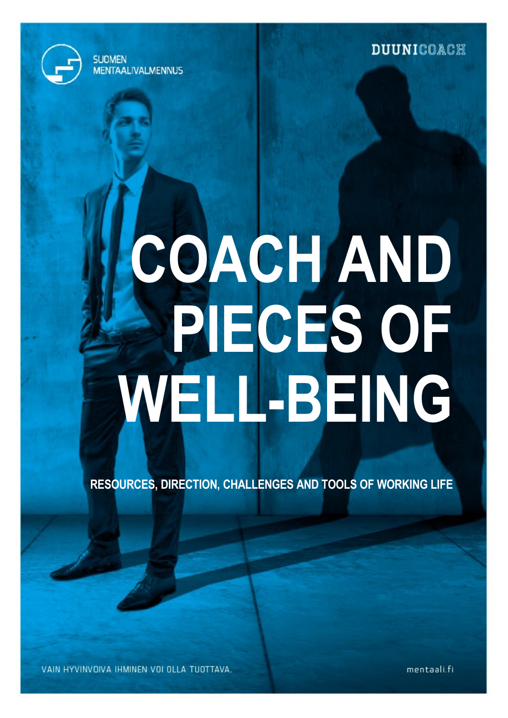**DUUNICOACH** 



**SUDMEN** 

**MENTAALIVALMENNUS** 

# **COACH AND PIECES OF WELL-BEING**

**RESOURCES, DIRECTION, CHALLENGES AND TOOLS OF WORKING LIFE**

VAIN HYVINVOIVA IHMINEN VOI OLLA TUOTTAVA.

mentaali.fi